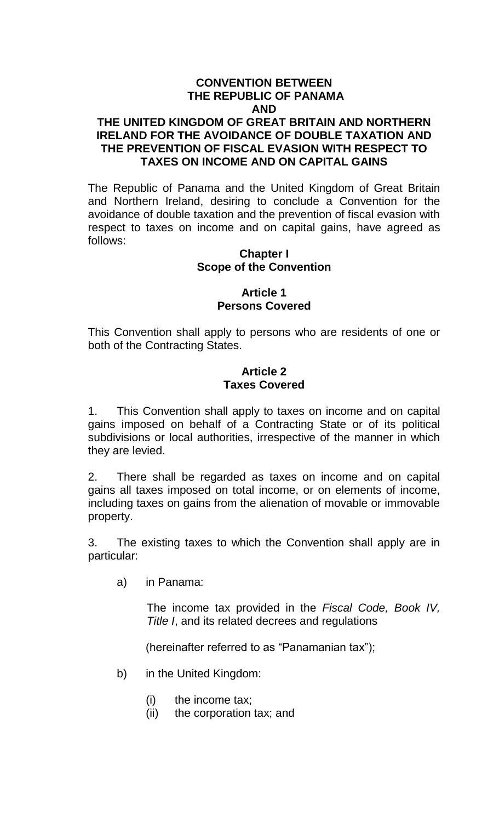## **CONVENTION BETWEEN THE REPUBLIC OF PANAMA AND**

## **THE UNITED KINGDOM OF GREAT BRITAIN AND NORTHERN IRELAND FOR THE AVOIDANCE OF DOUBLE TAXATION AND THE PREVENTION OF FISCAL EVASION WITH RESPECT TO TAXES ON INCOME AND ON CAPITAL GAINS**

The Republic of Panama and the United Kingdom of Great Britain and Northern Ireland, desiring to conclude a Convention for the avoidance of double taxation and the prevention of fiscal evasion with respect to taxes on income and on capital gains, have agreed as follows:

## **Chapter I Scope of the Convention**

# **Article 1 Persons Covered**

This Convention shall apply to persons who are residents of one or both of the Contracting States.

## **Article 2 Taxes Covered**

1. This Convention shall apply to taxes on income and on capital gains imposed on behalf of a Contracting State or of its political subdivisions or local authorities, irrespective of the manner in which they are levied.

2. There shall be regarded as taxes on income and on capital gains all taxes imposed on total income, or on elements of income, including taxes on gains from the alienation of movable or immovable property.

3. The existing taxes to which the Convention shall apply are in particular:

a) in Panama:

The income tax provided in the *Fiscal Code, Book IV, Title I*, and its related decrees and regulations

(hereinafter referred to as "Panamanian tax");

- b) in the United Kingdom:
	- (i) the income tax;
	- (ii) the corporation tax; and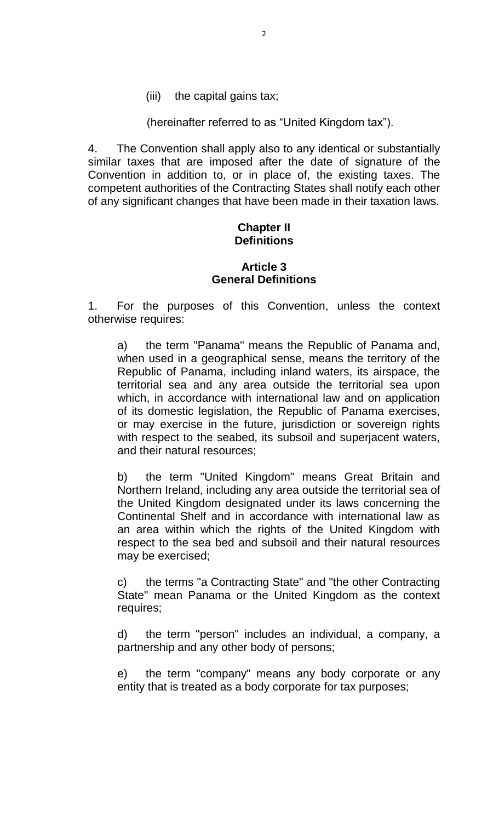(iii) the capital gains tax;

(hereinafter referred to as "United Kingdom tax").

4. The Convention shall apply also to any identical or substantially similar taxes that are imposed after the date of signature of the Convention in addition to, or in place of, the existing taxes. The competent authorities of the Contracting States shall notify each other of any significant changes that have been made in their taxation laws.

### **Chapter II Definitions**

## **Article 3 General Definitions**

1. For the purposes of this Convention, unless the context otherwise requires:

a) the term "Panama" means the Republic of Panama and, when used in a geographical sense, means the territory of the Republic of Panama, including inland waters, its airspace, the territorial sea and any area outside the territorial sea upon which, in accordance with international law and on application of its domestic legislation, the Republic of Panama exercises, or may exercise in the future, jurisdiction or sovereign rights with respect to the seabed, its subsoil and superjacent waters, and their natural resources;

b) the term "United Kingdom" means Great Britain and Northern Ireland, including any area outside the territorial sea of the United Kingdom designated under its laws concerning the Continental Shelf and in accordance with international law as an area within which the rights of the United Kingdom with respect to the sea bed and subsoil and their natural resources may be exercised;

c) the terms "a Contracting State" and "the other Contracting State" mean Panama or the United Kingdom as the context requires;

d) the term "person" includes an individual, a company, a partnership and any other body of persons;

e) the term "company" means any body corporate or any entity that is treated as a body corporate for tax purposes;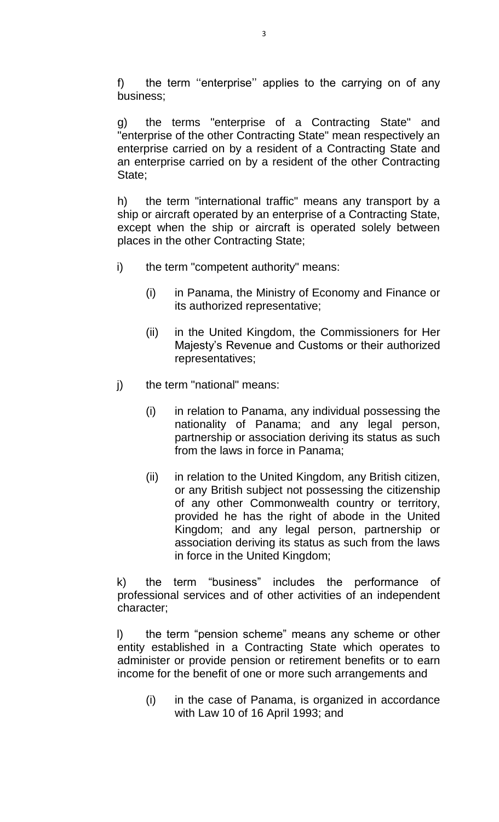f) the term "enterprise" applies to the carrying on of any business;

g) the terms "enterprise of a Contracting State" and "enterprise of the other Contracting State" mean respectively an enterprise carried on by a resident of a Contracting State and an enterprise carried on by a resident of the other Contracting State;

h) the term "international traffic" means any transport by a ship or aircraft operated by an enterprise of a Contracting State, except when the ship or aircraft is operated solely between places in the other Contracting State;

- i) the term "competent authority" means:
	- (i) in Panama, the Ministry of Economy and Finance or its authorized representative;
	- (ii) in the United Kingdom, the Commissioners for Her Majesty's Revenue and Customs or their authorized representatives;
- j) the term "national" means:
	- (i) in relation to Panama, any individual possessing the nationality of Panama; and any legal person, partnership or association deriving its status as such from the laws in force in Panama;
	- (ii) in relation to the United Kingdom, any British citizen, or any British subject not possessing the citizenship of any other Commonwealth country or territory, provided he has the right of abode in the United Kingdom; and any legal person, partnership or association deriving its status as such from the laws in force in the United Kingdom;

k) the term "business" includes the performance of professional services and of other activities of an independent character;

l) the term "pension scheme" means any scheme or other entity established in a Contracting State which operates to administer or provide pension or retirement benefits or to earn income for the benefit of one or more such arrangements and

(i) in the case of Panama, is organized in accordance with Law 10 of 16 April 1993; and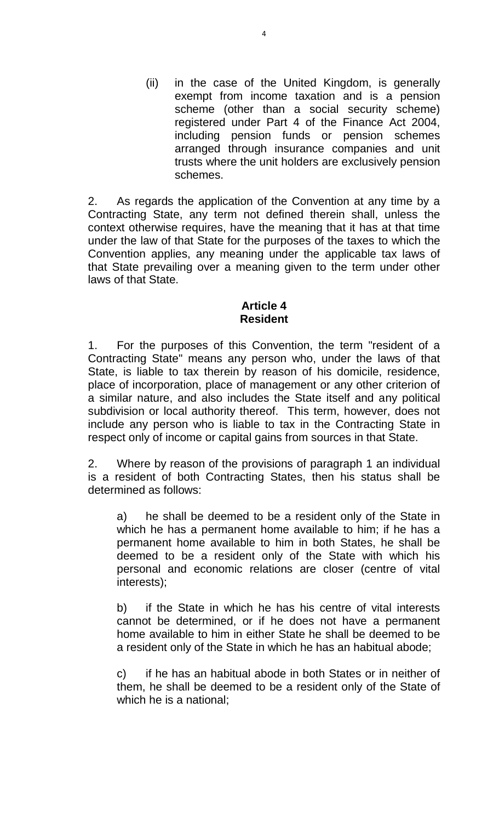(ii) in the case of the United Kingdom, is generally exempt from income taxation and is a pension scheme (other than a social security scheme) registered under Part 4 of the Finance Act 2004, including pension funds or pension schemes arranged through insurance companies and unit trusts where the unit holders are exclusively pension schemes.

2. As regards the application of the Convention at any time by a Contracting State, any term not defined therein shall, unless the context otherwise requires, have the meaning that it has at that time under the law of that State for the purposes of the taxes to which the Convention applies, any meaning under the applicable tax laws of that State prevailing over a meaning given to the term under other laws of that State.

# **Article 4 Resident**

1. For the purposes of this Convention, the term "resident of a Contracting State" means any person who, under the laws of that State, is liable to tax therein by reason of his domicile, residence, place of incorporation, place of management or any other criterion of a similar nature, and also includes the State itself and any political subdivision or local authority thereof. This term, however, does not include any person who is liable to tax in the Contracting State in respect only of income or capital gains from sources in that State.

2. Where by reason of the provisions of paragraph 1 an individual is a resident of both Contracting States, then his status shall be determined as follows:

a) he shall be deemed to be a resident only of the State in which he has a permanent home available to him; if he has a permanent home available to him in both States, he shall be deemed to be a resident only of the State with which his personal and economic relations are closer (centre of vital interests);

b) if the State in which he has his centre of vital interests cannot be determined, or if he does not have a permanent home available to him in either State he shall be deemed to be a resident only of the State in which he has an habitual abode;

c) if he has an habitual abode in both States or in neither of them, he shall be deemed to be a resident only of the State of which he is a national;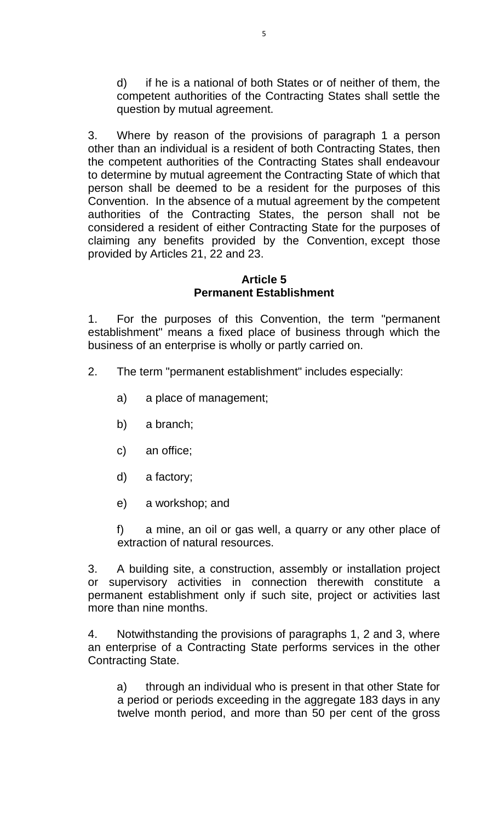d) if he is a national of both States or of neither of them, the competent authorities of the Contracting States shall settle the question by mutual agreement.

3. Where by reason of the provisions of paragraph 1 a person other than an individual is a resident of both Contracting States, then the competent authorities of the Contracting States shall endeavour to determine by mutual agreement the Contracting State of which that person shall be deemed to be a resident for the purposes of this Convention. In the absence of a mutual agreement by the competent authorities of the Contracting States, the person shall not be considered a resident of either Contracting State for the purposes of claiming any benefits provided by the Convention, except those provided by Articles 21, 22 and 23.

## **Article 5 Permanent Establishment**

1. For the purposes of this Convention, the term "permanent establishment" means a fixed place of business through which the business of an enterprise is wholly or partly carried on.

- 2. The term "permanent establishment" includes especially:
	- a) a place of management;
	- b) a branch;
	- c) an office;
	- d) a factory;
	- e) a workshop; and

f) a mine, an oil or gas well, a quarry or any other place of extraction of natural resources.

3. A building site, a construction, assembly or installation project or supervisory activities in connection therewith constitute a permanent establishment only if such site, project or activities last more than nine months.

4. Notwithstanding the provisions of paragraphs 1, 2 and 3, where an enterprise of a Contracting State performs services in the other Contracting State.

a) through an individual who is present in that other State for a period or periods exceeding in the aggregate 183 days in any twelve month period, and more than 50 per cent of the gross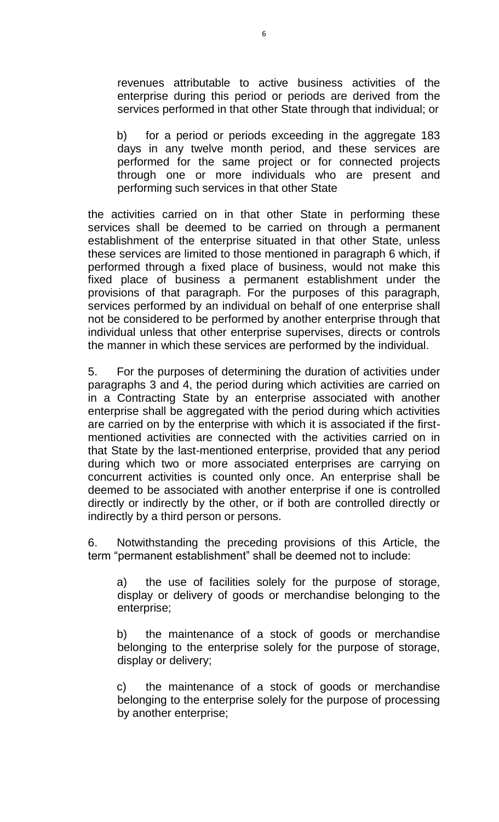revenues attributable to active business activities of the enterprise during this period or periods are derived from the services performed in that other State through that individual; or

b) for a period or periods exceeding in the aggregate 183 days in any twelve month period, and these services are performed for the same project or for connected projects through one or more individuals who are present and performing such services in that other State

the activities carried on in that other State in performing these services shall be deemed to be carried on through a permanent establishment of the enterprise situated in that other State, unless these services are limited to those mentioned in paragraph 6 which, if performed through a fixed place of business, would not make this fixed place of business a permanent establishment under the provisions of that paragraph. For the purposes of this paragraph, services performed by an individual on behalf of one enterprise shall not be considered to be performed by another enterprise through that individual unless that other enterprise supervises, directs or controls the manner in which these services are performed by the individual.

5. For the purposes of determining the duration of activities under paragraphs 3 and 4, the period during which activities are carried on in a Contracting State by an enterprise associated with another enterprise shall be aggregated with the period during which activities are carried on by the enterprise with which it is associated if the firstmentioned activities are connected with the activities carried on in that State by the last-mentioned enterprise, provided that any period during which two or more associated enterprises are carrying on concurrent activities is counted only once. An enterprise shall be deemed to be associated with another enterprise if one is controlled directly or indirectly by the other, or if both are controlled directly or indirectly by a third person or persons.

6. Notwithstanding the preceding provisions of this Article, the term "permanent establishment" shall be deemed not to include:

a) the use of facilities solely for the purpose of storage, display or delivery of goods or merchandise belonging to the enterprise;

b) the maintenance of a stock of goods or merchandise belonging to the enterprise solely for the purpose of storage, display or delivery;

c) the maintenance of a stock of goods or merchandise belonging to the enterprise solely for the purpose of processing by another enterprise;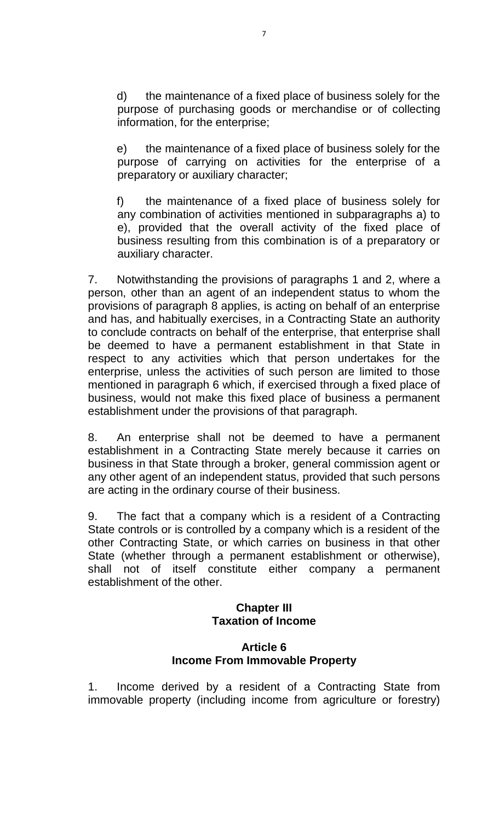d) the maintenance of a fixed place of business solely for the purpose of purchasing goods or merchandise or of collecting information, for the enterprise;

e) the maintenance of a fixed place of business solely for the purpose of carrying on activities for the enterprise of a preparatory or auxiliary character;

f) the maintenance of a fixed place of business solely for any combination of activities mentioned in subparagraphs a) to e), provided that the overall activity of the fixed place of business resulting from this combination is of a preparatory or auxiliary character.

7. Notwithstanding the provisions of paragraphs 1 and 2, where a person, other than an agent of an independent status to whom the provisions of paragraph 8 applies, is acting on behalf of an enterprise and has, and habitually exercises, in a Contracting State an authority to conclude contracts on behalf of the enterprise, that enterprise shall be deemed to have a permanent establishment in that State in respect to any activities which that person undertakes for the enterprise, unless the activities of such person are limited to those mentioned in paragraph 6 which, if exercised through a fixed place of business, would not make this fixed place of business a permanent establishment under the provisions of that paragraph.

8. An enterprise shall not be deemed to have a permanent establishment in a Contracting State merely because it carries on business in that State through a broker, general commission agent or any other agent of an independent status, provided that such persons are acting in the ordinary course of their business.

9. The fact that a company which is a resident of a Contracting State controls or is controlled by a company which is a resident of the other Contracting State, or which carries on business in that other State (whether through a permanent establishment or otherwise), shall not of itself constitute either company a permanent establishment of the other.

# **Chapter III Taxation of Income**

# **Article 6 Income From Immovable Property**

1. Income derived by a resident of a Contracting State from immovable property (including income from agriculture or forestry)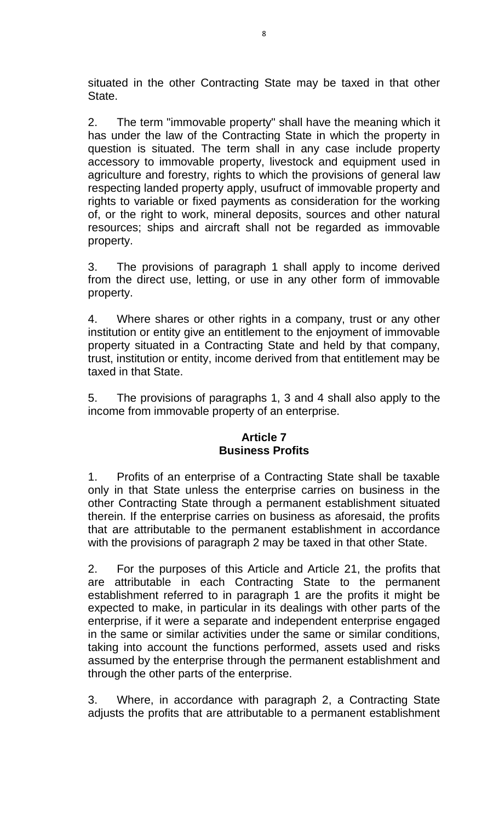situated in the other Contracting State may be taxed in that other State.

2. The term "immovable property" shall have the meaning which it has under the law of the Contracting State in which the property in question is situated. The term shall in any case include property accessory to immovable property, livestock and equipment used in agriculture and forestry, rights to which the provisions of general law respecting landed property apply, usufruct of immovable property and rights to variable or fixed payments as consideration for the working of, or the right to work, mineral deposits, sources and other natural resources; ships and aircraft shall not be regarded as immovable property.

3. The provisions of paragraph 1 shall apply to income derived from the direct use, letting, or use in any other form of immovable property.

4. Where shares or other rights in a company, trust or any other institution or entity give an entitlement to the enjoyment of immovable property situated in a Contracting State and held by that company, trust, institution or entity, income derived from that entitlement may be taxed in that State.

5. The provisions of paragraphs 1, 3 and 4 shall also apply to the income from immovable property of an enterprise.

## **Article 7 Business Profits**

1. Profits of an enterprise of a Contracting State shall be taxable only in that State unless the enterprise carries on business in the other Contracting State through a permanent establishment situated therein. If the enterprise carries on business as aforesaid, the profits that are attributable to the permanent establishment in accordance with the provisions of paragraph 2 may be taxed in that other State.

2. For the purposes of this Article and Article 21, the profits that are attributable in each Contracting State to the permanent establishment referred to in paragraph 1 are the profits it might be expected to make, in particular in its dealings with other parts of the enterprise, if it were a separate and independent enterprise engaged in the same or similar activities under the same or similar conditions, taking into account the functions performed, assets used and risks assumed by the enterprise through the permanent establishment and through the other parts of the enterprise.

3. Where, in accordance with paragraph 2, a Contracting State adjusts the profits that are attributable to a permanent establishment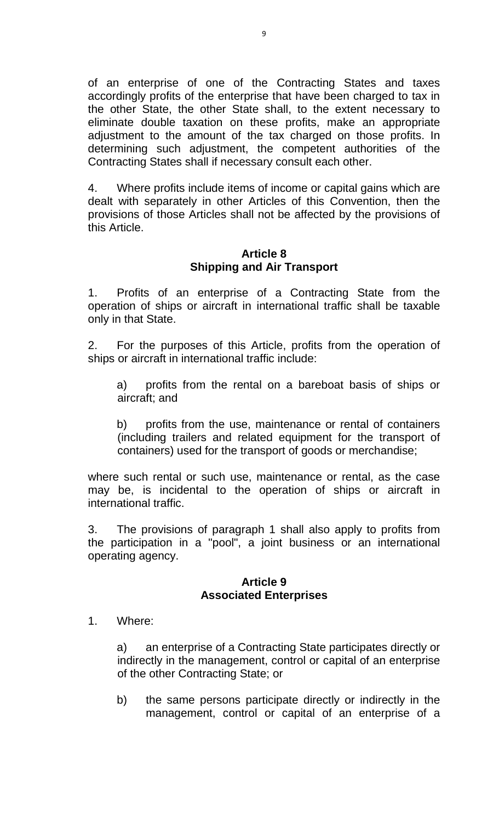of an enterprise of one of the Contracting States and taxes accordingly profits of the enterprise that have been charged to tax in the other State, the other State shall, to the extent necessary to eliminate double taxation on these profits, make an appropriate adjustment to the amount of the tax charged on those profits. In determining such adjustment, the competent authorities of the Contracting States shall if necessary consult each other.

4. Where profits include items of income or capital gains which are dealt with separately in other Articles of this Convention, then the provisions of those Articles shall not be affected by the provisions of this Article.

## **Article 8 Shipping and Air Transport**

1. Profits of an enterprise of a Contracting State from the operation of ships or aircraft in international traffic shall be taxable only in that State.

2. For the purposes of this Article, profits from the operation of ships or aircraft in international traffic include:

a) profits from the rental on a bareboat basis of ships or aircraft; and

b) profits from the use, maintenance or rental of containers (including trailers and related equipment for the transport of containers) used for the transport of goods or merchandise;

where such rental or such use, maintenance or rental, as the case may be, is incidental to the operation of ships or aircraft in international traffic.

3. The provisions of paragraph 1 shall also apply to profits from the participation in a "pool", a joint business or an international operating agency.

### **Article 9 Associated Enterprises**

1. Where:

a) an enterprise of a Contracting State participates directly or indirectly in the management, control or capital of an enterprise of the other Contracting State; or

b) the same persons participate directly or indirectly in the management, control or capital of an enterprise of a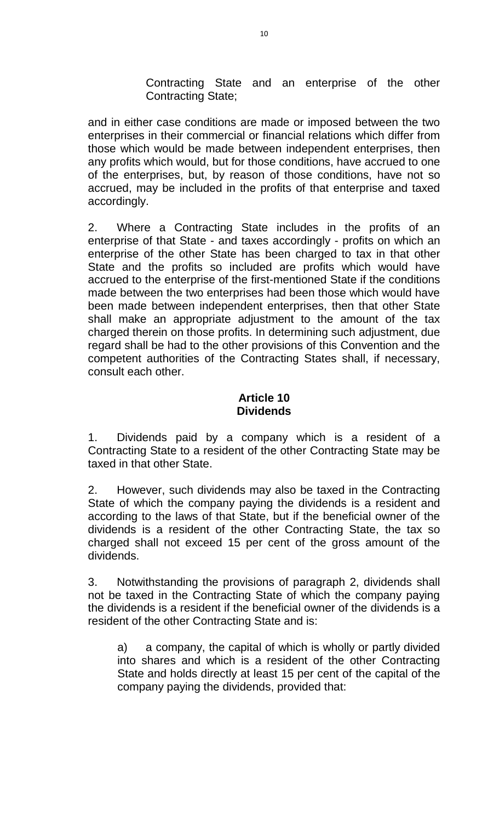Contracting State and an enterprise of the other Contracting State;

and in either case conditions are made or imposed between the two enterprises in their commercial or financial relations which differ from those which would be made between independent enterprises, then any profits which would, but for those conditions, have accrued to one of the enterprises, but, by reason of those conditions, have not so accrued, may be included in the profits of that enterprise and taxed accordingly.

2. Where a Contracting State includes in the profits of an enterprise of that State - and taxes accordingly - profits on which an enterprise of the other State has been charged to tax in that other State and the profits so included are profits which would have accrued to the enterprise of the first-mentioned State if the conditions made between the two enterprises had been those which would have been made between independent enterprises, then that other State shall make an appropriate adjustment to the amount of the tax charged therein on those profits. In determining such adjustment, due regard shall be had to the other provisions of this Convention and the competent authorities of the Contracting States shall, if necessary, consult each other.

# **Article 10 Dividends**

1. Dividends paid by a company which is a resident of a Contracting State to a resident of the other Contracting State may be taxed in that other State.

2. However, such dividends may also be taxed in the Contracting State of which the company paying the dividends is a resident and according to the laws of that State, but if the beneficial owner of the dividends is a resident of the other Contracting State, the tax so charged shall not exceed 15 per cent of the gross amount of the dividends.

3. Notwithstanding the provisions of paragraph 2, dividends shall not be taxed in the Contracting State of which the company paying the dividends is a resident if the beneficial owner of the dividends is a resident of the other Contracting State and is:

a) a company, the capital of which is wholly or partly divided into shares and which is a resident of the other Contracting State and holds directly at least 15 per cent of the capital of the company paying the dividends, provided that: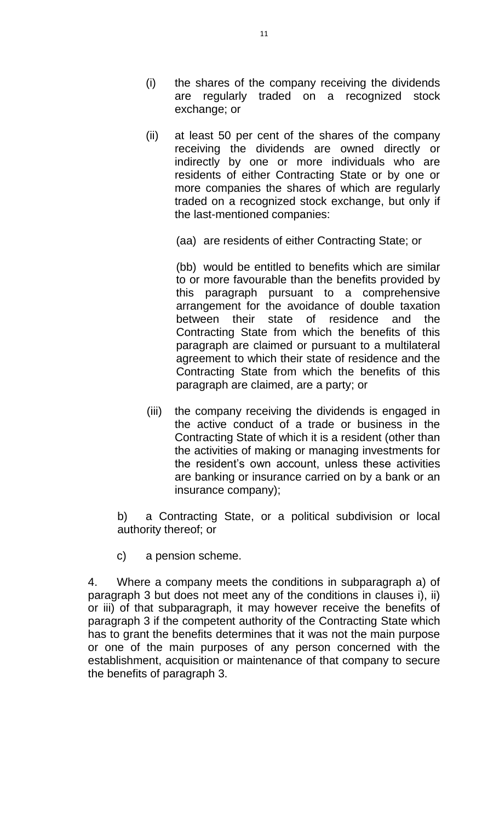- (i) the shares of the company receiving the dividends are regularly traded on a recognized stock exchange; or
- (ii) at least 50 per cent of the shares of the company receiving the dividends are owned directly or indirectly by one or more individuals who are residents of either Contracting State or by one or more companies the shares of which are regularly traded on a recognized stock exchange, but only if the last-mentioned companies:

(aa) are residents of either Contracting State; or

(bb) would be entitled to benefits which are similar to or more favourable than the benefits provided by this paragraph pursuant to a comprehensive arrangement for the avoidance of double taxation between their state of residence and the Contracting State from which the benefits of this paragraph are claimed or pursuant to a multilateral agreement to which their state of residence and the Contracting State from which the benefits of this paragraph are claimed, are a party; or

(iii) the company receiving the dividends is engaged in the active conduct of a trade or business in the Contracting State of which it is a resident (other than the activities of making or managing investments for the resident's own account, unless these activities are banking or insurance carried on by a bank or an insurance company);

b) a Contracting State, or a political subdivision or local authority thereof; or

c) a pension scheme.

4. Where a company meets the conditions in subparagraph a) of paragraph 3 but does not meet any of the conditions in clauses i), ii) or iii) of that subparagraph, it may however receive the benefits of paragraph 3 if the competent authority of the Contracting State which has to grant the benefits determines that it was not the main purpose or one of the main purposes of any person concerned with the establishment, acquisition or maintenance of that company to secure the benefits of paragraph 3.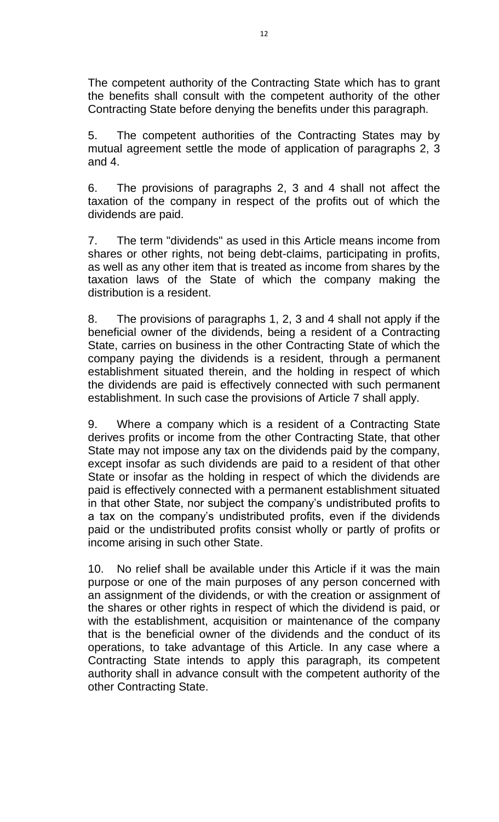The competent authority of the Contracting State which has to grant the benefits shall consult with the competent authority of the other Contracting State before denying the benefits under this paragraph.

5. The competent authorities of the Contracting States may by mutual agreement settle the mode of application of paragraphs 2, 3 and 4.

6. The provisions of paragraphs 2, 3 and 4 shall not affect the taxation of the company in respect of the profits out of which the dividends are paid.

7. The term "dividends" as used in this Article means income from shares or other rights, not being debt-claims, participating in profits, as well as any other item that is treated as income from shares by the taxation laws of the State of which the company making the distribution is a resident.

8. The provisions of paragraphs 1, 2, 3 and 4 shall not apply if the beneficial owner of the dividends, being a resident of a Contracting State, carries on business in the other Contracting State of which the company paying the dividends is a resident, through a permanent establishment situated therein, and the holding in respect of which the dividends are paid is effectively connected with such permanent establishment. In such case the provisions of Article 7 shall apply.

9. Where a company which is a resident of a Contracting State derives profits or income from the other Contracting State, that other State may not impose any tax on the dividends paid by the company, except insofar as such dividends are paid to a resident of that other State or insofar as the holding in respect of which the dividends are paid is effectively connected with a permanent establishment situated in that other State, nor subject the company's undistributed profits to a tax on the company's undistributed profits, even if the dividends paid or the undistributed profits consist wholly or partly of profits or income arising in such other State.

10. No relief shall be available under this Article if it was the main purpose or one of the main purposes of any person concerned with an assignment of the dividends, or with the creation or assignment of the shares or other rights in respect of which the dividend is paid, or with the establishment, acquisition or maintenance of the company that is the beneficial owner of the dividends and the conduct of its operations, to take advantage of this Article. In any case where a Contracting State intends to apply this paragraph, its competent authority shall in advance consult with the competent authority of the other Contracting State.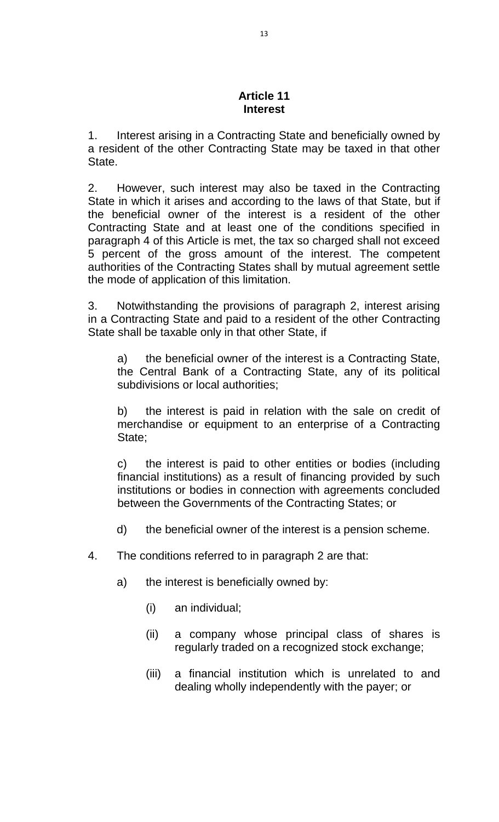#### **Article 11 Interest**

1. Interest arising in a Contracting State and beneficially owned by a resident of the other Contracting State may be taxed in that other State.

2. However, such interest may also be taxed in the Contracting State in which it arises and according to the laws of that State, but if the beneficial owner of the interest is a resident of the other Contracting State and at least one of the conditions specified in paragraph 4 of this Article is met, the tax so charged shall not exceed 5 percent of the gross amount of the interest. The competent authorities of the Contracting States shall by mutual agreement settle the mode of application of this limitation.

3. Notwithstanding the provisions of paragraph 2, interest arising in a Contracting State and paid to a resident of the other Contracting State shall be taxable only in that other State, if

a) the beneficial owner of the interest is a Contracting State, the Central Bank of a Contracting State, any of its political subdivisions or local authorities;

b) the interest is paid in relation with the sale on credit of merchandise or equipment to an enterprise of a Contracting State;

c) the interest is paid to other entities or bodies (including financial institutions) as a result of financing provided by such institutions or bodies in connection with agreements concluded between the Governments of the Contracting States; or

- d) the beneficial owner of the interest is a pension scheme.
- 4. The conditions referred to in paragraph 2 are that:
	- a) the interest is beneficially owned by:
		- (i) an individual;
		- (ii) a company whose principal class of shares is regularly traded on a recognized stock exchange;
		- (iii) a financial institution which is unrelated to and dealing wholly independently with the payer; or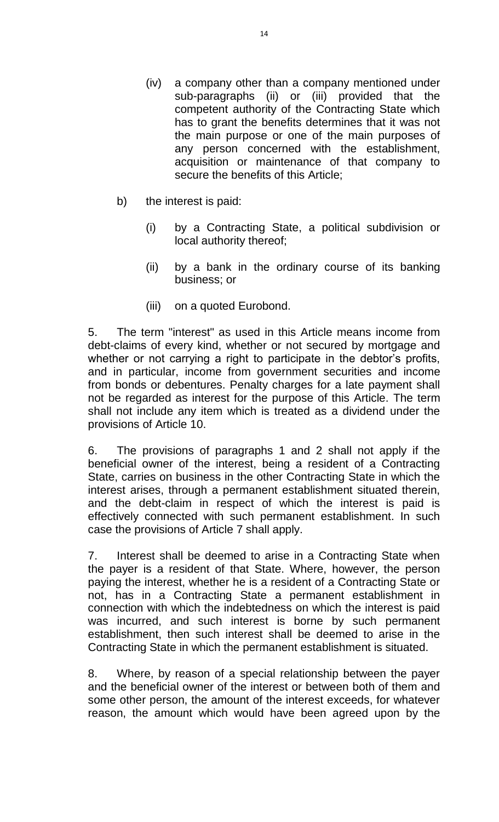- (iv) a company other than a company mentioned under sub-paragraphs (ii) or (iii) provided that the competent authority of the Contracting State which has to grant the benefits determines that it was not the main purpose or one of the main purposes of any person concerned with the establishment, acquisition or maintenance of that company to secure the benefits of this Article;
- b) the interest is paid:
	- (i) by a Contracting State, a political subdivision or local authority thereof;
	- (ii) by a bank in the ordinary course of its banking business; or
	- (iii) on a quoted Eurobond.

5. The term "interest" as used in this Article means income from debt-claims of every kind, whether or not secured by mortgage and whether or not carrying a right to participate in the debtor's profits, and in particular, income from government securities and income from bonds or debentures. Penalty charges for a late payment shall not be regarded as interest for the purpose of this Article. The term shall not include any item which is treated as a dividend under the provisions of Article 10.

6. The provisions of paragraphs 1 and 2 shall not apply if the beneficial owner of the interest, being a resident of a Contracting State, carries on business in the other Contracting State in which the interest arises, through a permanent establishment situated therein, and the debt-claim in respect of which the interest is paid is effectively connected with such permanent establishment. In such case the provisions of Article 7 shall apply.

7. Interest shall be deemed to arise in a Contracting State when the payer is a resident of that State. Where, however, the person paying the interest, whether he is a resident of a Contracting State or not, has in a Contracting State a permanent establishment in connection with which the indebtedness on which the interest is paid was incurred, and such interest is borne by such permanent establishment, then such interest shall be deemed to arise in the Contracting State in which the permanent establishment is situated.

8. Where, by reason of a special relationship between the payer and the beneficial owner of the interest or between both of them and some other person, the amount of the interest exceeds, for whatever reason, the amount which would have been agreed upon by the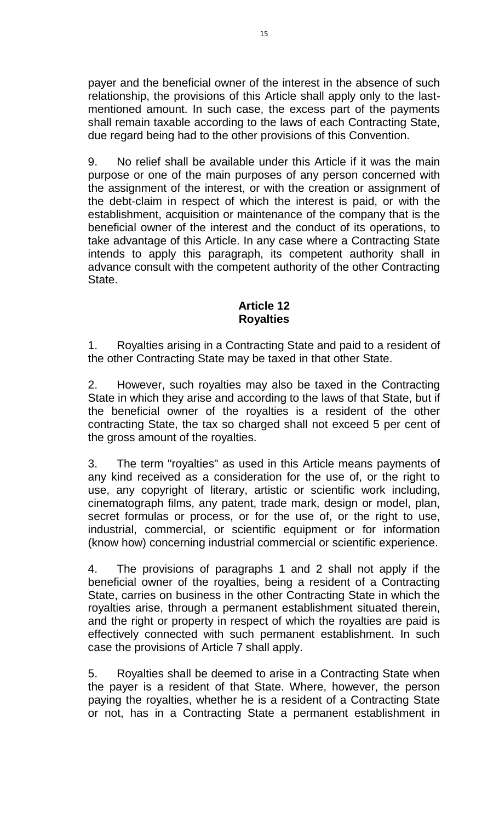payer and the beneficial owner of the interest in the absence of such relationship, the provisions of this Article shall apply only to the lastmentioned amount. In such case, the excess part of the payments shall remain taxable according to the laws of each Contracting State, due regard being had to the other provisions of this Convention.

9. No relief shall be available under this Article if it was the main purpose or one of the main purposes of any person concerned with the assignment of the interest, or with the creation or assignment of the debt-claim in respect of which the interest is paid, or with the establishment, acquisition or maintenance of the company that is the beneficial owner of the interest and the conduct of its operations, to take advantage of this Article. In any case where a Contracting State intends to apply this paragraph, its competent authority shall in advance consult with the competent authority of the other Contracting State.

# **Article 12 Royalties**

1. Royalties arising in a Contracting State and paid to a resident of the other Contracting State may be taxed in that other State.

2. However, such royalties may also be taxed in the Contracting State in which they arise and according to the laws of that State, but if the beneficial owner of the royalties is a resident of the other contracting State, the tax so charged shall not exceed 5 per cent of the gross amount of the royalties.

3. The term "royalties" as used in this Article means payments of any kind received as a consideration for the use of, or the right to use, any copyright of literary, artistic or scientific work including, cinematograph films, any patent, trade mark, design or model, plan, secret formulas or process, or for the use of, or the right to use, industrial, commercial, or scientific equipment or for information (know how) concerning industrial commercial or scientific experience.

4. The provisions of paragraphs 1 and 2 shall not apply if the beneficial owner of the royalties, being a resident of a Contracting State, carries on business in the other Contracting State in which the royalties arise, through a permanent establishment situated therein, and the right or property in respect of which the royalties are paid is effectively connected with such permanent establishment. In such case the provisions of Article 7 shall apply.

5. Royalties shall be deemed to arise in a Contracting State when the payer is a resident of that State. Where, however, the person paying the royalties, whether he is a resident of a Contracting State or not, has in a Contracting State a permanent establishment in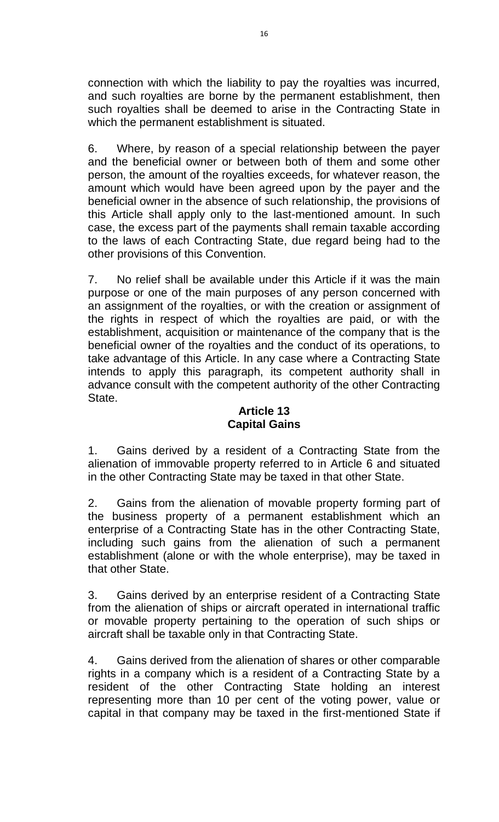connection with which the liability to pay the royalties was incurred, and such royalties are borne by the permanent establishment, then such royalties shall be deemed to arise in the Contracting State in which the permanent establishment is situated.

6. Where, by reason of a special relationship between the payer and the beneficial owner or between both of them and some other person, the amount of the royalties exceeds, for whatever reason, the amount which would have been agreed upon by the payer and the beneficial owner in the absence of such relationship, the provisions of this Article shall apply only to the last-mentioned amount. In such case, the excess part of the payments shall remain taxable according to the laws of each Contracting State, due regard being had to the other provisions of this Convention.

7. No relief shall be available under this Article if it was the main purpose or one of the main purposes of any person concerned with an assignment of the royalties, or with the creation or assignment of the rights in respect of which the royalties are paid, or with the establishment, acquisition or maintenance of the company that is the beneficial owner of the royalties and the conduct of its operations, to take advantage of this Article. In any case where a Contracting State intends to apply this paragraph, its competent authority shall in advance consult with the competent authority of the other Contracting State.

# **Article 13 Capital Gains**

1. Gains derived by a resident of a Contracting State from the alienation of immovable property referred to in Article 6 and situated in the other Contracting State may be taxed in that other State.

2. Gains from the alienation of movable property forming part of the business property of a permanent establishment which an enterprise of a Contracting State has in the other Contracting State, including such gains from the alienation of such a permanent establishment (alone or with the whole enterprise), may be taxed in that other State.

3. Gains derived by an enterprise resident of a Contracting State from the alienation of ships or aircraft operated in international traffic or movable property pertaining to the operation of such ships or aircraft shall be taxable only in that Contracting State.

4. Gains derived from the alienation of shares or other comparable rights in a company which is a resident of a Contracting State by a resident of the other Contracting State holding an interest representing more than 10 per cent of the voting power, value or capital in that company may be taxed in the first-mentioned State if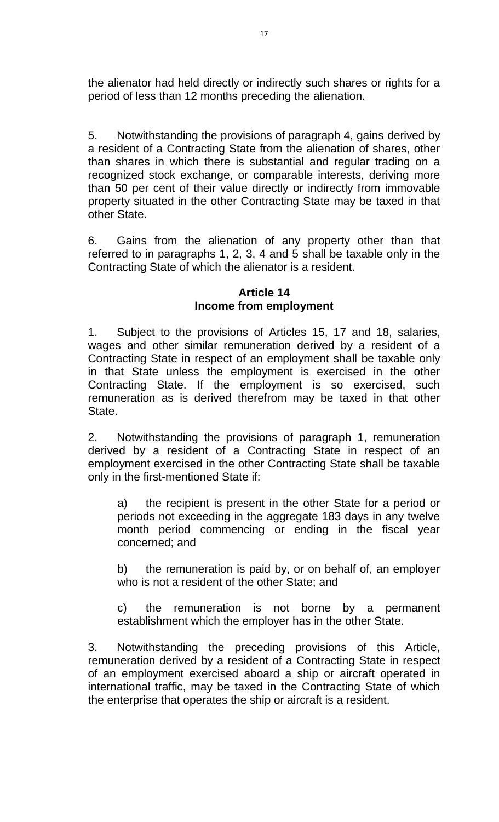the alienator had held directly or indirectly such shares or rights for a period of less than 12 months preceding the alienation.

5. Notwithstanding the provisions of paragraph 4, gains derived by a resident of a Contracting State from the alienation of shares, other than shares in which there is substantial and regular trading on a recognized stock exchange, or comparable interests, deriving more than 50 per cent of their value directly or indirectly from immovable property situated in the other Contracting State may be taxed in that other State.

6. Gains from the alienation of any property other than that referred to in paragraphs 1, 2, 3, 4 and 5 shall be taxable only in the Contracting State of which the alienator is a resident.

## **Article 14 Income from employment**

1. Subject to the provisions of Articles 15, 17 and 18, salaries, wages and other similar remuneration derived by a resident of a Contracting State in respect of an employment shall be taxable only in that State unless the employment is exercised in the other Contracting State. If the employment is so exercised, such remuneration as is derived therefrom may be taxed in that other State.

2. Notwithstanding the provisions of paragraph 1, remuneration derived by a resident of a Contracting State in respect of an employment exercised in the other Contracting State shall be taxable only in the first-mentioned State if:

a) the recipient is present in the other State for a period or periods not exceeding in the aggregate 183 days in any twelve month period commencing or ending in the fiscal year concerned; and

b) the remuneration is paid by, or on behalf of, an employer who is not a resident of the other State; and

c) the remuneration is not borne by a permanent establishment which the employer has in the other State.

3. Notwithstanding the preceding provisions of this Article, remuneration derived by a resident of a Contracting State in respect of an employment exercised aboard a ship or aircraft operated in international traffic, may be taxed in the Contracting State of which the enterprise that operates the ship or aircraft is a resident.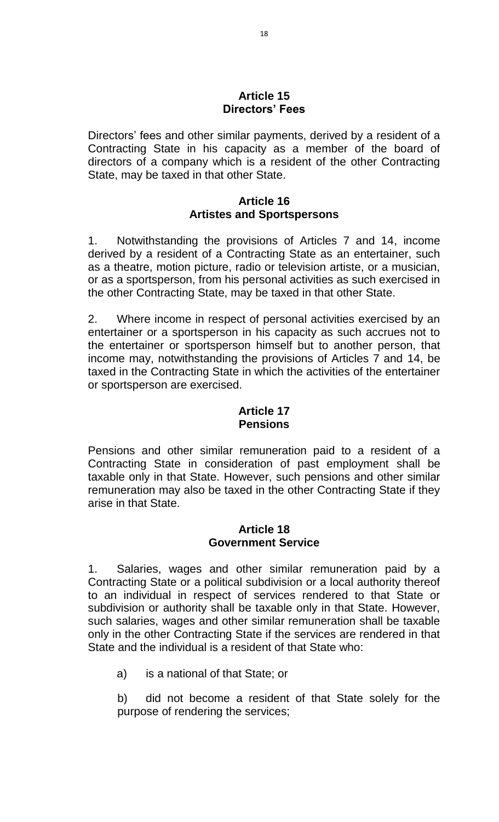### **Article 15 Directors' Fees**

Directors' fees and other similar payments, derived by a resident of a Contracting State in his capacity as a member of the board of directors of a company which is a resident of the other Contracting State, may be taxed in that other State.

## **Article 16 Artistes and Sportspersons**

1. Notwithstanding the provisions of Articles 7 and 14, income derived by a resident of a Contracting State as an entertainer, such as a theatre, motion picture, radio or television artiste, or a musician, or as a sportsperson, from his personal activities as such exercised in the other Contracting State, may be taxed in that other State.

2. Where income in respect of personal activities exercised by an entertainer or a sportsperson in his capacity as such accrues not to the entertainer or sportsperson himself but to another person, that income may, notwithstanding the provisions of Articles 7 and 14, be taxed in the Contracting State in which the activities of the entertainer or sportsperson are exercised.

## **Article 17 Pensions**

Pensions and other similar remuneration paid to a resident of a Contracting State in consideration of past employment shall be taxable only in that State. However, such pensions and other similar remuneration may also be taxed in the other Contracting State if they arise in that State.

## **Article 18 Government Service**

1. Salaries, wages and other similar remuneration paid by a Contracting State or a political subdivision or a local authority thereof to an individual in respect of services rendered to that State or subdivision or authority shall be taxable only in that State. However, such salaries, wages and other similar remuneration shall be taxable only in the other Contracting State if the services are rendered in that State and the individual is a resident of that State who:

a) is a national of that State; or

b) did not become a resident of that State solely for the purpose of rendering the services;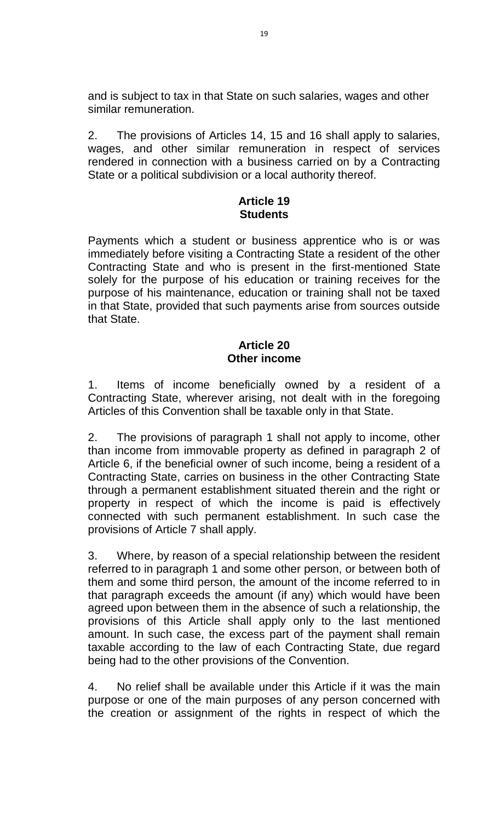and is subject to tax in that State on such salaries, wages and other similar remuneration.

2. The provisions of Articles 14, 15 and 16 shall apply to salaries, wages, and other similar remuneration in respect of services rendered in connection with a business carried on by a Contracting State or a political subdivision or a local authority thereof.

### **Article 19 Students**

Payments which a student or business apprentice who is or was immediately before visiting a Contracting State a resident of the other Contracting State and who is present in the first-mentioned State solely for the purpose of his education or training receives for the purpose of his maintenance, education or training shall not be taxed in that State, provided that such payments arise from sources outside that State.

# **Article 20 Other income**

1. Items of income beneficially owned by a resident of a Contracting State, wherever arising, not dealt with in the foregoing Articles of this Convention shall be taxable only in that State.

2. The provisions of paragraph 1 shall not apply to income, other than income from immovable property as defined in paragraph 2 of Article 6, if the beneficial owner of such income, being a resident of a Contracting State, carries on business in the other Contracting State through a permanent establishment situated therein and the right or property in respect of which the income is paid is effectively connected with such permanent establishment. In such case the provisions of Article 7 shall apply.

3. Where, by reason of a special relationship between the resident referred to in paragraph 1 and some other person, or between both of them and some third person, the amount of the income referred to in that paragraph exceeds the amount (if any) which would have been agreed upon between them in the absence of such a relationship, the provisions of this Article shall apply only to the last mentioned amount. In such case, the excess part of the payment shall remain taxable according to the law of each Contracting State, due regard being had to the other provisions of the Convention.

4. No relief shall be available under this Article if it was the main purpose or one of the main purposes of any person concerned with the creation or assignment of the rights in respect of which the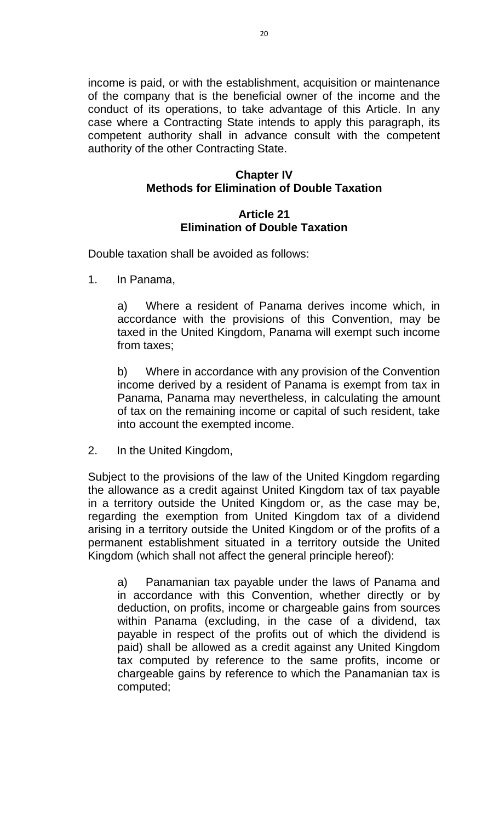income is paid, or with the establishment, acquisition or maintenance of the company that is the beneficial owner of the income and the conduct of its operations, to take advantage of this Article. In any case where a Contracting State intends to apply this paragraph, its competent authority shall in advance consult with the competent authority of the other Contracting State.

# **Chapter IV Methods for Elimination of Double Taxation**

## **Article 21 Elimination of Double Taxation**

Double taxation shall be avoided as follows:

1. In Panama,

a) Where a resident of Panama derives income which, in accordance with the provisions of this Convention, may be taxed in the United Kingdom, Panama will exempt such income from taxes;

b) Where in accordance with any provision of the Convention income derived by a resident of Panama is exempt from tax in Panama, Panama may nevertheless, in calculating the amount of tax on the remaining income or capital of such resident, take into account the exempted income.

2. In the United Kingdom,

Subject to the provisions of the law of the United Kingdom regarding the allowance as a credit against United Kingdom tax of tax payable in a territory outside the United Kingdom or, as the case may be, regarding the exemption from United Kingdom tax of a dividend arising in a territory outside the United Kingdom or of the profits of a permanent establishment situated in a territory outside the United Kingdom (which shall not affect the general principle hereof):

a) Panamanian tax payable under the laws of Panama and in accordance with this Convention, whether directly or by deduction, on profits, income or chargeable gains from sources within Panama (excluding, in the case of a dividend, tax payable in respect of the profits out of which the dividend is paid) shall be allowed as a credit against any United Kingdom tax computed by reference to the same profits, income or chargeable gains by reference to which the Panamanian tax is computed;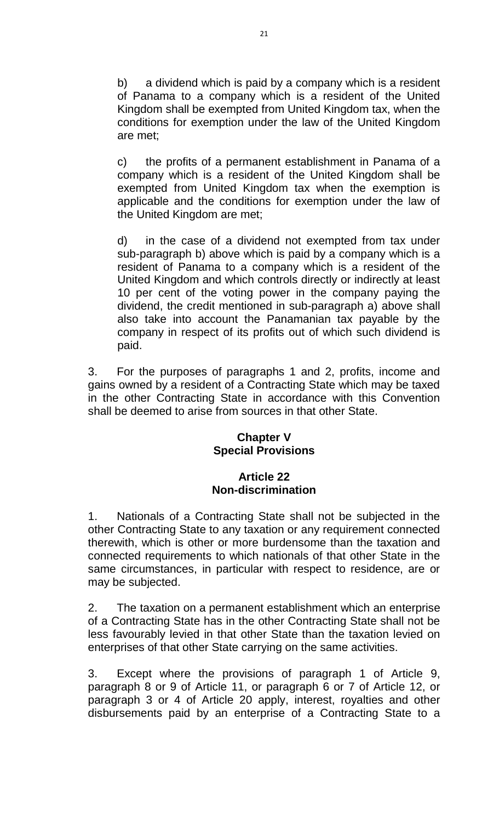b) a dividend which is paid by a company which is a resident of Panama to a company which is a resident of the United Kingdom shall be exempted from United Kingdom tax, when the conditions for exemption under the law of the United Kingdom are met;

c) the profits of a permanent establishment in Panama of a company which is a resident of the United Kingdom shall be exempted from United Kingdom tax when the exemption is applicable and the conditions for exemption under the law of the United Kingdom are met;

d) in the case of a dividend not exempted from tax under sub-paragraph b) above which is paid by a company which is a resident of Panama to a company which is a resident of the United Kingdom and which controls directly or indirectly at least 10 per cent of the voting power in the company paying the dividend, the credit mentioned in sub-paragraph a) above shall also take into account the Panamanian tax payable by the company in respect of its profits out of which such dividend is paid.

3. For the purposes of paragraphs 1 and 2, profits, income and gains owned by a resident of a Contracting State which may be taxed in the other Contracting State in accordance with this Convention shall be deemed to arise from sources in that other State.

# **Chapter V Special Provisions**

# **Article 22 Non-discrimination**

1. Nationals of a Contracting State shall not be subjected in the other Contracting State to any taxation or any requirement connected therewith, which is other or more burdensome than the taxation and connected requirements to which nationals of that other State in the same circumstances, in particular with respect to residence, are or may be subjected.

2. The taxation on a permanent establishment which an enterprise of a Contracting State has in the other Contracting State shall not be less favourably levied in that other State than the taxation levied on enterprises of that other State carrying on the same activities.

3. Except where the provisions of paragraph 1 of Article 9, paragraph 8 or 9 of Article 11, or paragraph 6 or 7 of Article 12, or paragraph 3 or 4 of Article 20 apply, interest, royalties and other disbursements paid by an enterprise of a Contracting State to a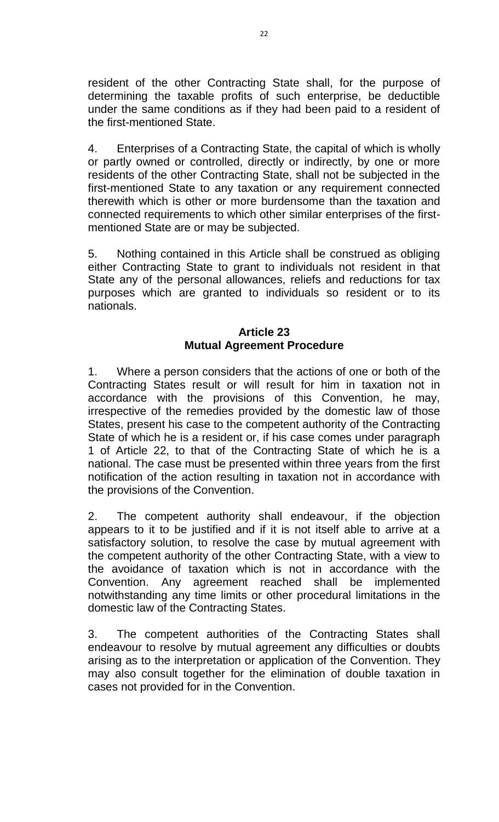resident of the other Contracting State shall, for the purpose of determining the taxable profits of such enterprise, be deductible under the same conditions as if they had been paid to a resident of the first-mentioned State.

4. Enterprises of a Contracting State, the capital of which is wholly or partly owned or controlled, directly or indirectly, by one or more residents of the other Contracting State, shall not be subjected in the first-mentioned State to any taxation or any requirement connected therewith which is other or more burdensome than the taxation and connected requirements to which other similar enterprises of the firstmentioned State are or may be subjected.

5. Nothing contained in this Article shall be construed as obliging either Contracting State to grant to individuals not resident in that State any of the personal allowances, reliefs and reductions for tax purposes which are granted to individuals so resident or to its nationals.

## **Article 23 Mutual Agreement Procedure**

1. Where a person considers that the actions of one or both of the Contracting States result or will result for him in taxation not in accordance with the provisions of this Convention, he may, irrespective of the remedies provided by the domestic law of those States, present his case to the competent authority of the Contracting State of which he is a resident or, if his case comes under paragraph 1 of Article 22, to that of the Contracting State of which he is a national. The case must be presented within three years from the first notification of the action resulting in taxation not in accordance with the provisions of the Convention.

2. The competent authority shall endeavour, if the objection appears to it to be justified and if it is not itself able to arrive at a satisfactory solution, to resolve the case by mutual agreement with the competent authority of the other Contracting State, with a view to the avoidance of taxation which is not in accordance with the Convention. Any agreement reached shall be implemented notwithstanding any time limits or other procedural limitations in the domestic law of the Contracting States.

3. The competent authorities of the Contracting States shall endeavour to resolve by mutual agreement any difficulties or doubts arising as to the interpretation or application of the Convention. They may also consult together for the elimination of double taxation in cases not provided for in the Convention.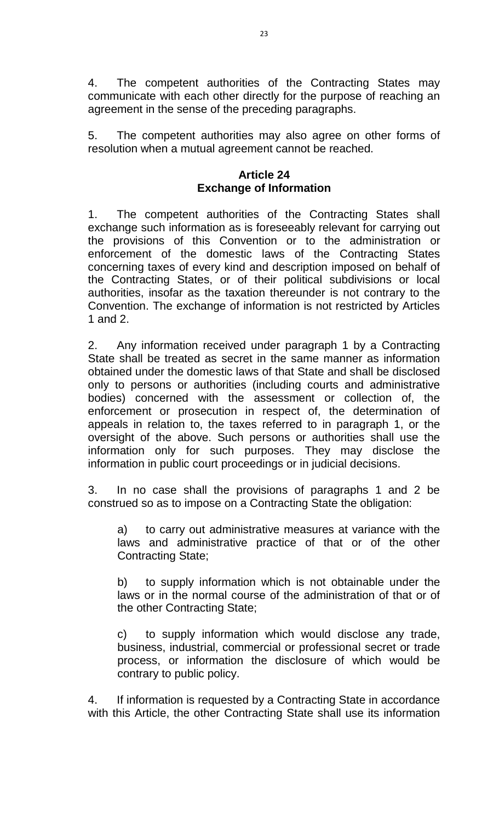4. The competent authorities of the Contracting States may communicate with each other directly for the purpose of reaching an agreement in the sense of the preceding paragraphs.

5. The competent authorities may also agree on other forms of resolution when a mutual agreement cannot be reached.

# **Article 24 Exchange of Information**

1. The competent authorities of the Contracting States shall exchange such information as is foreseeably relevant for carrying out the provisions of this Convention or to the administration or enforcement of the domestic laws of the Contracting States concerning taxes of every kind and description imposed on behalf of the Contracting States, or of their political subdivisions or local authorities, insofar as the taxation thereunder is not contrary to the Convention. The exchange of information is not restricted by Articles 1 and 2.

2. Any information received under paragraph 1 by a Contracting State shall be treated as secret in the same manner as information obtained under the domestic laws of that State and shall be disclosed only to persons or authorities (including courts and administrative bodies) concerned with the assessment or collection of, the enforcement or prosecution in respect of, the determination of appeals in relation to, the taxes referred to in paragraph 1, or the oversight of the above. Such persons or authorities shall use the information only for such purposes. They may disclose the information in public court proceedings or in judicial decisions.

3. In no case shall the provisions of paragraphs 1 and 2 be construed so as to impose on a Contracting State the obligation:

a) to carry out administrative measures at variance with the laws and administrative practice of that or of the other Contracting State;

b) to supply information which is not obtainable under the laws or in the normal course of the administration of that or of the other Contracting State;

c) to supply information which would disclose any trade, business, industrial, commercial or professional secret or trade process, or information the disclosure of which would be contrary to public policy.

4. If information is requested by a Contracting State in accordance with this Article, the other Contracting State shall use its information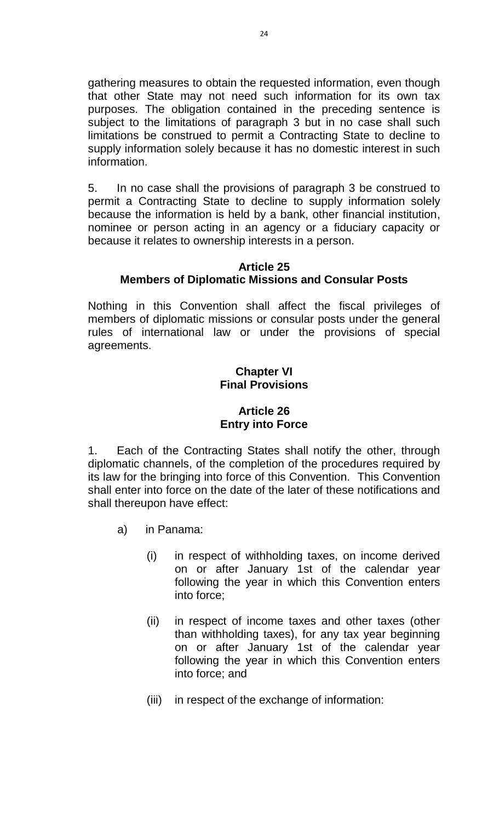gathering measures to obtain the requested information, even though that other State may not need such information for its own tax purposes. The obligation contained in the preceding sentence is subject to the limitations of paragraph 3 but in no case shall such limitations be construed to permit a Contracting State to decline to supply information solely because it has no domestic interest in such information.

5. In no case shall the provisions of paragraph 3 be construed to permit a Contracting State to decline to supply information solely because the information is held by a bank, other financial institution, nominee or person acting in an agency or a fiduciary capacity or because it relates to ownership interests in a person.

# **Article 25 Members of Diplomatic Missions and Consular Posts**

Nothing in this Convention shall affect the fiscal privileges of members of diplomatic missions or consular posts under the general rules of international law or under the provisions of special agreements.

# **Chapter VI Final Provisions**

# **Article 26 Entry into Force**

1. Each of the Contracting States shall notify the other, through diplomatic channels, of the completion of the procedures required by its law for the bringing into force of this Convention. This Convention shall enter into force on the date of the later of these notifications and shall thereupon have effect:

- a) in Panama:
	- (i) in respect of withholding taxes, on income derived on or after January 1st of the calendar year following the year in which this Convention enters into force;
	- (ii) in respect of income taxes and other taxes (other than withholding taxes), for any tax year beginning on or after January 1st of the calendar year following the year in which this Convention enters into force; and
	- (iii) in respect of the exchange of information: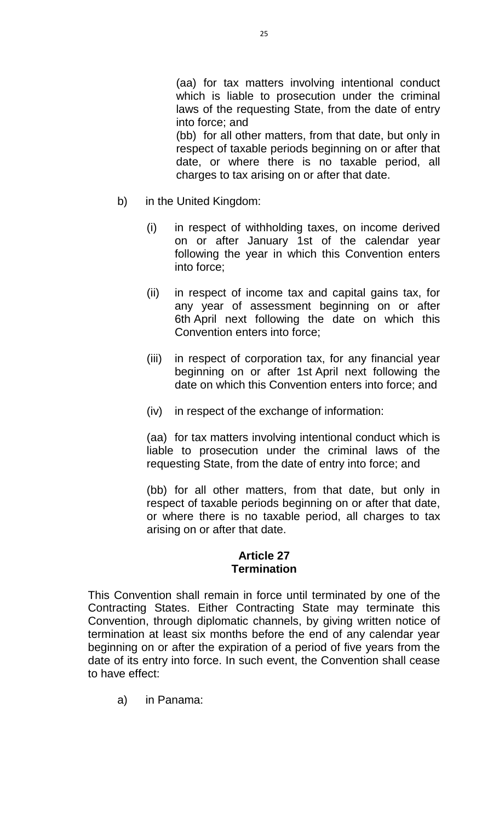(aa) for tax matters involving intentional conduct which is liable to prosecution under the criminal laws of the requesting State, from the date of entry into force; and

(bb) for all other matters, from that date, but only in respect of taxable periods beginning on or after that date, or where there is no taxable period, all charges to tax arising on or after that date.

- b) in the United Kingdom:
	- (i) in respect of withholding taxes, on income derived on or after January 1st of the calendar year following the year in which this Convention enters into force;
	- (ii) in respect of income tax and capital gains tax, for any year of assessment beginning on or after 6th April next following the date on which this Convention enters into force;
	- (iii) in respect of corporation tax, for any financial year beginning on or after 1st April next following the date on which this Convention enters into force; and
	- (iv) in respect of the exchange of information:

(aa) for tax matters involving intentional conduct which is liable to prosecution under the criminal laws of the requesting State, from the date of entry into force; and

(bb) for all other matters, from that date, but only in respect of taxable periods beginning on or after that date, or where there is no taxable period, all charges to tax arising on or after that date.

### **Article 27 Termination**

This Convention shall remain in force until terminated by one of the Contracting States. Either Contracting State may terminate this Convention, through diplomatic channels, by giving written notice of termination at least six months before the end of any calendar year beginning on or after the expiration of a period of five years from the date of its entry into force. In such event, the Convention shall cease to have effect:

a) in Panama: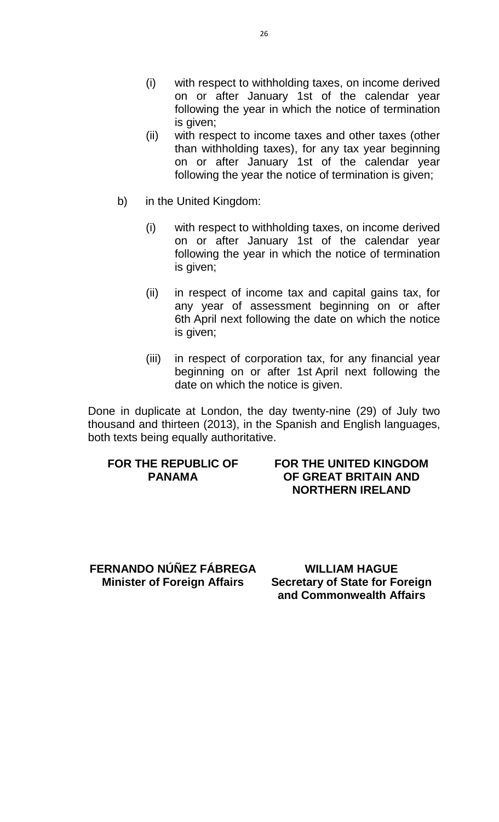- (i) with respect to withholding taxes, on income derived on or after January 1st of the calendar year following the year in which the notice of termination is given;
- (ii) with respect to income taxes and other taxes (other than withholding taxes), for any tax year beginning on or after January 1st of the calendar year following the year the notice of termination is given;
- b) in the United Kingdom:
	- (i) with respect to withholding taxes, on income derived on or after January 1st of the calendar year following the year in which the notice of termination is given;
	- (ii) in respect of income tax and capital gains tax, for any year of assessment beginning on or after 6th April next following the date on which the notice is given;
	- (iii) in respect of corporation tax, for any financial year beginning on or after 1st April next following the date on which the notice is given.

Done in duplicate at London, the day twenty-nine (29) of July two thousand and thirteen (2013), in the Spanish and English languages, both texts being equally authoritative.

### **FOR THE REPUBLIC OF PANAMA**

# **FOR THE UNITED KINGDOM OF GREAT BRITAIN AND NORTHERN IRELAND**

**FERNANDO NÚÑEZ FÁBREGA Minister of Foreign Affairs**

**WILLIAM HAGUE Secretary of State for Foreign and Commonwealth Affairs**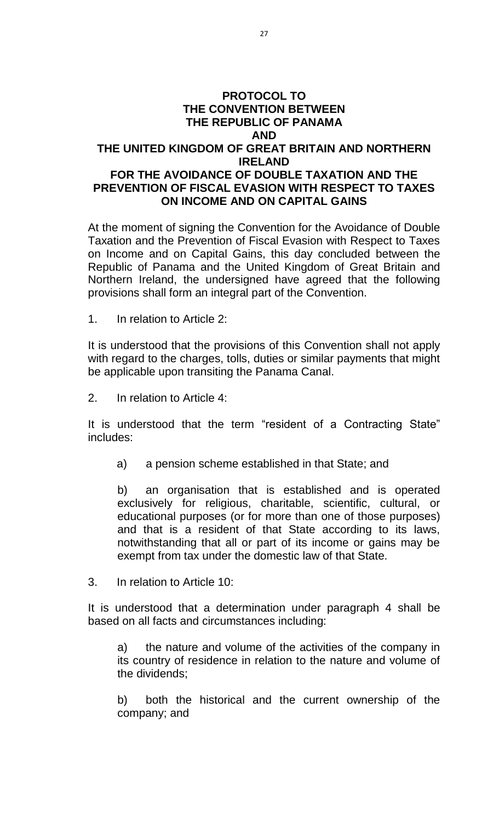### **PROTOCOL TO THE CONVENTION BETWEEN THE REPUBLIC OF PANAMA AND THE UNITED KINGDOM OF GREAT BRITAIN AND NORTHERN IRELAND FOR THE AVOIDANCE OF DOUBLE TAXATION AND THE PREVENTION OF FISCAL EVASION WITH RESPECT TO TAXES ON INCOME AND ON CAPITAL GAINS**

At the moment of signing the Convention for the Avoidance of Double Taxation and the Prevention of Fiscal Evasion with Respect to Taxes on Income and on Capital Gains, this day concluded between the Republic of Panama and the United Kingdom of Great Britain and Northern Ireland, the undersigned have agreed that the following provisions shall form an integral part of the Convention.

1. In relation to Article 2:

It is understood that the provisions of this Convention shall not apply with regard to the charges, tolls, duties or similar payments that might be applicable upon transiting the Panama Canal.

2. In relation to Article 4:

It is understood that the term "resident of a Contracting State" includes:

a) a pension scheme established in that State; and

b) an organisation that is established and is operated exclusively for religious, charitable, scientific, cultural, or educational purposes (or for more than one of those purposes) and that is a resident of that State according to its laws, notwithstanding that all or part of its income or gains may be exempt from tax under the domestic law of that State.

3. In relation to Article 10:

It is understood that a determination under paragraph 4 shall be based on all facts and circumstances including:

a) the nature and volume of the activities of the company in its country of residence in relation to the nature and volume of the dividends;

b) both the historical and the current ownership of the company; and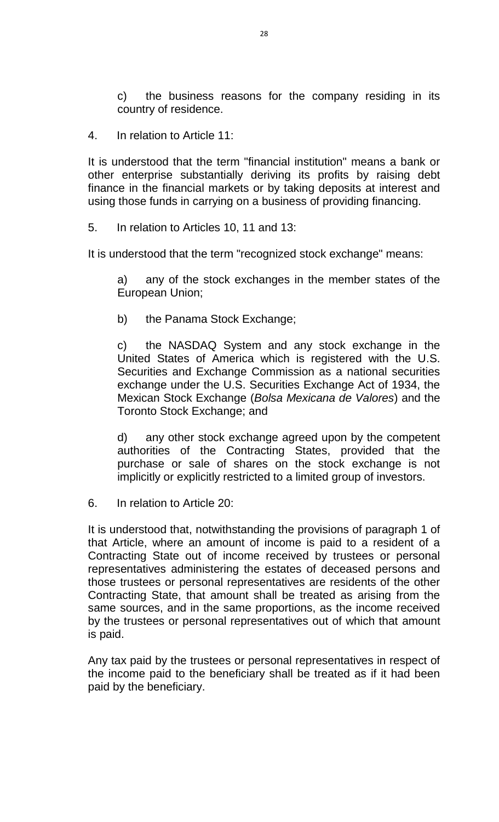c) the business reasons for the company residing in its country of residence.

4. In relation to Article 11:

It is understood that the term "financial institution" means a bank or other enterprise substantially deriving its profits by raising debt finance in the financial markets or by taking deposits at interest and using those funds in carrying on a business of providing financing.

5. In relation to Articles 10, 11 and 13:

It is understood that the term "recognized stock exchange" means:

a) any of the stock exchanges in the member states of the European Union;

b) the Panama Stock Exchange;

c) the NASDAQ System and any stock exchange in the United States of America which is registered with the U.S. Securities and Exchange Commission as a national securities exchange under the U.S. Securities Exchange Act of 1934, the Mexican Stock Exchange (*Bolsa Mexicana de Valores*) and the Toronto Stock Exchange; and

d) any other stock exchange agreed upon by the competent authorities of the Contracting States, provided that the purchase or sale of shares on the stock exchange is not implicitly or explicitly restricted to a limited group of investors.

6. In relation to Article 20:

It is understood that, notwithstanding the provisions of paragraph 1 of that Article, where an amount of income is paid to a resident of a Contracting State out of income received by trustees or personal representatives administering the estates of deceased persons and those trustees or personal representatives are residents of the other Contracting State, that amount shall be treated as arising from the same sources, and in the same proportions, as the income received by the trustees or personal representatives out of which that amount is paid.

Any tax paid by the trustees or personal representatives in respect of the income paid to the beneficiary shall be treated as if it had been paid by the beneficiary.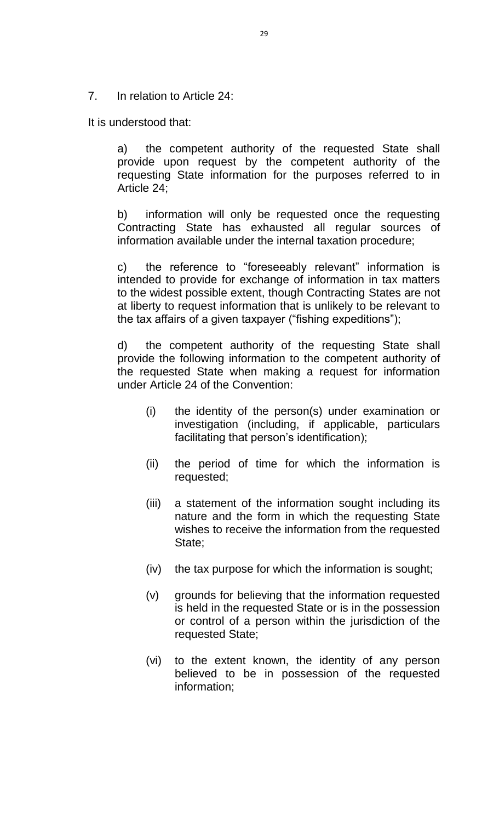7. In relation to Article 24:

It is understood that:

a) the competent authority of the requested State shall provide upon request by the competent authority of the requesting State information for the purposes referred to in Article 24;

b) information will only be requested once the requesting Contracting State has exhausted all regular sources of information available under the internal taxation procedure;

c) the reference to "foreseeably relevant" information is intended to provide for exchange of information in tax matters to the widest possible extent, though Contracting States are not at liberty to request information that is unlikely to be relevant to the tax affairs of a given taxpayer ("fishing expeditions");

d) the competent authority of the requesting State shall provide the following information to the competent authority of the requested State when making a request for information under Article 24 of the Convention:

- (i) the identity of the person(s) under examination or investigation (including, if applicable, particulars facilitating that person's identification);
- (ii) the period of time for which the information is requested;
- (iii) a statement of the information sought including its nature and the form in which the requesting State wishes to receive the information from the requested State;
- (iv) the tax purpose for which the information is sought;
- (v) grounds for believing that the information requested is held in the requested State or is in the possession or control of a person within the jurisdiction of the requested State;
- (vi) to the extent known, the identity of any person believed to be in possession of the requested information;